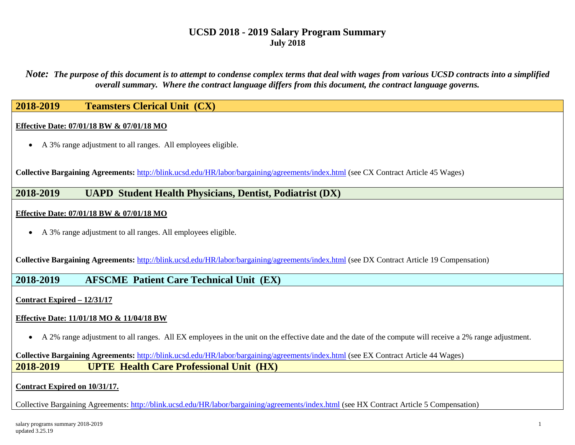*Note: The purpose of this document is to attempt to condense complex terms that deal with wages from various UCSD contracts into a simplified overall summary. Where the contract language differs from this document, the contract language governs.*

## **2018-2019 Teamsters Clerical Unit (CX)**

#### **Effective Date: 07/01/18 BW & 07/01/18 MO**

• A 3% range adjustment to all ranges. All employees eligible.

**Collective Bargaining Agreements:** <http://blink.ucsd.edu/HR/labor/bargaining/agreements/index.html> (see CX Contract Article 45 Wages)

## **2018-2019 UAPD Student Health Physicians, Dentist, Podiatrist (DX)**

#### **Effective Date: 07/01/18 BW & 07/01/18 MO**

• A 3% range adjustment to all ranges. All employees eligible.

**Collective Bargaining Agreements:** <http://blink.ucsd.edu/HR/labor/bargaining/agreements/index.html> (see DX Contract Article 19 Compensation)

### **2018-2019 AFSCME Patient Care Technical Unit (EX)**

**Contract Expired – 12/31/17**

### **Effective Date: 11/01/18 MO & 11/04/18 BW**

• A 2% range adjustment to all ranges. All EX employees in the unit on the effective date and the date of the compute will receive a 2% range adjustment.

### **Collective Bargaining Agreements:** <http://blink.ucsd.edu/HR/labor/bargaining/agreements/index.html> (see EX Contract Article 44 Wages) **2018-2019 UPTE Health Care Professional Unit (HX)**

### **Contract Expired on 10/31/17.**

Collective Bargaining Agreements: <http://blink.ucsd.edu/HR/labor/bargaining/agreements/index.html> (see HX Contract Article 5 Compensation)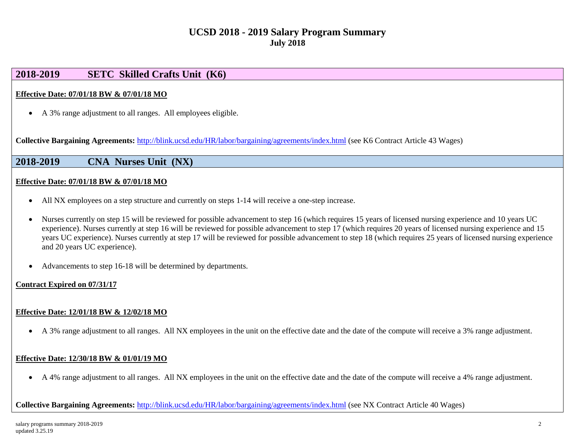## **2018-2019 SETC Skilled Crafts Unit (K6)**

### **Effective Date: 07/01/18 BW & 07/01/18 MO**

• A 3% range adjustment to all ranges. All employees eligible.

**Collective Bargaining Agreements:** <http://blink.ucsd.edu/HR/labor/bargaining/agreements/index.html> (see K6 Contract Article 43 Wages)

**2018-2019 CNA Nurses Unit (NX)**

### **Effective Date: 07/01/18 BW & 07/01/18 MO**

- All NX employees on a step structure and currently on steps 1-14 will receive a one-step increase.
- Nurses currently on step 15 will be reviewed for possible advancement to step 16 (which requires 15 years of licensed nursing experience and 10 years UC experience). Nurses currently at step 16 will be reviewed for possible advancement to step 17 (which requires 20 years of licensed nursing experience and 15 years UC experience). Nurses currently at step 17 will be reviewed for possible advancement to step 18 (which requires 25 years of licensed nursing experience and 20 years UC experience).
- Advancements to step 16-18 will be determined by departments.

### **Contract Expired on 07/31/17**

#### **Effective Date: 12/01/18 BW & 12/02/18 MO**

• A 3% range adjustment to all ranges. All NX employees in the unit on the effective date and the date of the compute will receive a 3% range adjustment.

### **Effective Date: 12/30/18 BW & 01/01/19 MO**

• A 4% range adjustment to all ranges. All NX employees in the unit on the effective date and the date of the compute will receive a 4% range adjustment.

**Collective Bargaining Agreements:** <http://blink.ucsd.edu/HR/labor/bargaining/agreements/index.html> (see NX Contract Article 40 Wages)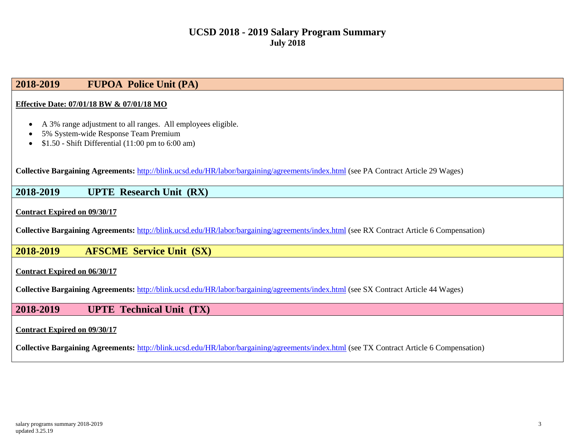## **2018-2019 FUPOA Police Unit (PA)**

#### **Effective Date: 07/01/18 BW & 07/01/18 MO**

- A 3% range adjustment to all ranges. All employees eligible.
- 5% System-wide Response Team Premium
- \$1.50 Shift Differential (11:00 pm to 6:00 am)

**Collective Bargaining Agreements:** <http://blink.ucsd.edu/HR/labor/bargaining/agreements/index.html> (see PA Contract Article 29 Wages)

### **2018-2019 UPTE Research Unit (RX)**

**Contract Expired on 09/30/17**

**Collective Bargaining Agreements:** <http://blink.ucsd.edu/HR/labor/bargaining/agreements/index.html> (see RX Contract Article 6 Compensation)

## **2018-2019 AFSCME Service Unit (SX)**

#### **Contract Expired on 06/30/17**

**Collective Bargaining Agreements:** <http://blink.ucsd.edu/HR/labor/bargaining/agreements/index.html> (see SX Contract Article 44 Wages)

## **2018-2019 UPTE Technical Unit (TX)**

#### **Contract Expired on 09/30/17**

**Collective Bargaining Agreements:** <http://blink.ucsd.edu/HR/labor/bargaining/agreements/index.html> (see TX Contract Article 6 Compensation)